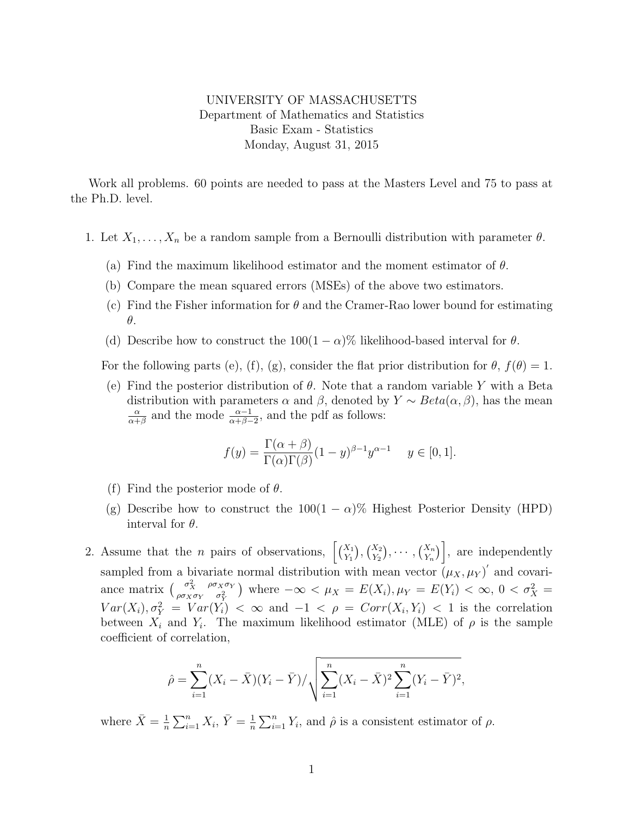## UNIVERSITY OF MASSACHUSETTS Department of Mathematics and Statistics Basic Exam - Statistics Monday, August 31, 2015

Work all problems. 60 points are needed to pass at the Masters Level and 75 to pass at the Ph.D. level.

- 1. Let  $X_1, \ldots, X_n$  be a random sample from a Bernoulli distribution with parameter  $\theta$ .
	- (a) Find the maximum likelihood estimator and the moment estimator of  $\theta$ .
	- (b) Compare the mean squared errors (MSEs) of the above two estimators.
	- (c) Find the Fisher information for  $\theta$  and the Cramer-Rao lower bound for estimating θ.
	- (d) Describe how to construct the  $100(1-\alpha)\%$  likelihood-based interval for  $\theta$ .

For the following parts (e), (f), (g), consider the flat prior distribution for  $\theta$ ,  $f(\theta) = 1$ .

(e) Find the posterior distribution of  $\theta$ . Note that a random variable Y with a Beta distribution with parameters  $\alpha$  and  $\beta$ , denoted by  $Y \sim Beta(\alpha, \beta)$ , has the mean α  $\frac{\alpha}{\alpha+\beta}$  and the mode  $\frac{\alpha-1}{\alpha+\beta-2}$ , and the pdf as follows:

$$
f(y) = \frac{\Gamma(\alpha + \beta)}{\Gamma(\alpha)\Gamma(\beta)} (1 - y)^{\beta - 1} y^{\alpha - 1} \quad y \in [0, 1].
$$

- (f) Find the posterior mode of  $\theta$ .
- (g) Describe how to construct the  $100(1 \alpha)\%$  Highest Posterior Density (HPD) interval for  $\theta$ .
- 2. Assume that the *n* pairs of observations,  $\left[\binom{X_1}{Y_1},\binom{X_2}{Y_2},\cdots,\binom{X_n}{Y_n}\right]$ , are independently sampled from a bivariate normal distribution with mean vector  $(\mu_X, \mu_Y)'$  and covariance matrix  $\int_{0}^{\sigma_X^2} \frac{\rho \sigma_X \sigma_Y}{\sigma_X^2}$  $\int_{\rho\sigma_X\sigma_Y}^{\sigma_X} \rho_{\sigma_X\sigma_Y}^{\sigma_X\sigma_Y}$  where  $-\infty < \mu_X = E(X_i), \mu_Y = E(Y_i) < \infty, 0 < \sigma_X^2 =$  $Var(X_i), \sigma_Y^2 = Var(Y_i) < \infty$  and  $-1 < \rho = Corr(X_i, Y_i) < 1$  is the correlation between  $X_i$  and  $Y_i$ . The maximum likelihood estimator (MLE) of  $\rho$  is the sample coefficient of correlation,

$$
\hat{\rho} = \sum_{i=1}^{n} (X_i - \bar{X})(Y_i - \bar{Y}) / \sqrt{\sum_{i=1}^{n} (X_i - \bar{X})^2 \sum_{i=1}^{n} (Y_i - \bar{Y})^2},
$$

where  $\bar{X} = \frac{1}{n}$  $\frac{1}{n}\sum_{i=1}^n X_i, \overline{Y} = \frac{1}{n}$  $\frac{1}{n}\sum_{i=1}^{n} Y_i$ , and  $\hat{\rho}$  is a consistent estimator of  $\rho$ .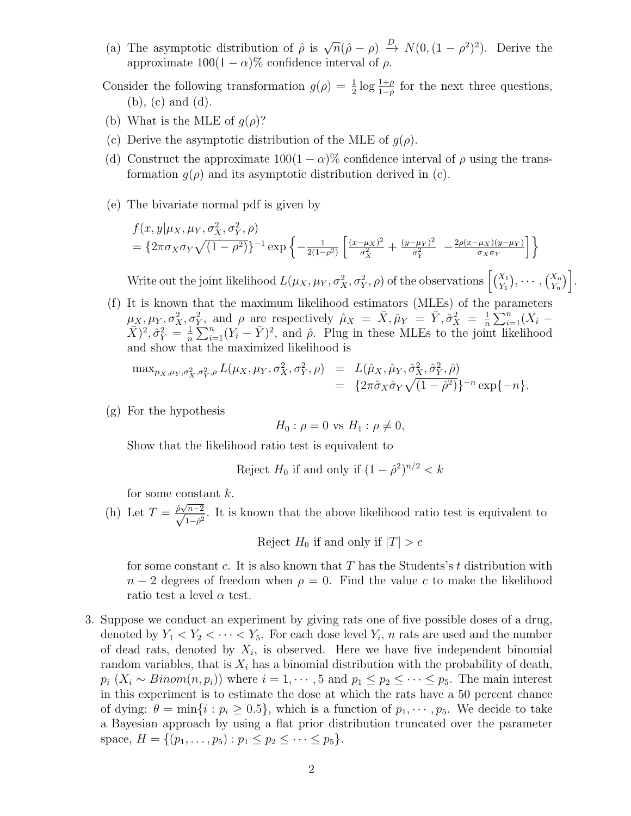- (a) The asymptotic distribution of  $\hat{\rho}$  is  $\sqrt{n}(\hat{\rho}-\rho) \stackrel{D}{\rightarrow} N(0,(1-\rho^2)^2)$ . Derive the approximate  $100(1 - \alpha)\%$  confidence interval of  $\rho$ .
- Consider the following transformation  $g(\rho) = \frac{1}{2} \log \frac{1+\rho}{1-\rho}$  for the next three questions, (b), (c) and (d).
- (b) What is the MLE of  $q(\rho)$ ?
- (c) Derive the asymptotic distribution of the MLE of  $g(\rho)$ .
- (d) Construct the approximate  $100(1 \alpha)$ % confidence interval of  $\rho$  using the transformation  $q(\rho)$  and its asymptotic distribution derived in (c).
- (e) The bivariate normal pdf is given by

$$
f(x,y|\mu_X, \mu_Y, \sigma_X^2, \sigma_Y^2, \rho)
$$
  
=  $\{2\pi\sigma_X\sigma_Y\sqrt{(1-\rho^2)}\}^{-1} \exp\left\{-\frac{1}{2(1-\rho^2)}\left[\frac{(x-\mu_X)^2}{\sigma_X^2} + \frac{(y-\mu_Y)^2}{\sigma_Y^2} - \frac{2\rho(x-\mu_X)(y-\mu_Y)}{\sigma_X\sigma_Y}\right]\right\}$ 

Write out the joint likelihood  $L(\mu_X, \mu_Y, \sigma_X^2, \sigma_Y^2, \rho)$  of the observations  $\left[ \binom{X_1}{Y_1}, \cdots, \binom{X_n}{Y_n} \right]$ .

(f) It is known that the maximum likelihood estimators (MLEs) of the parameters  $\mu_X, \mu_Y, \sigma_X^2, \sigma_Y^2$ , and  $\rho$  are respectively  $\hat{\mu}_X = \bar{X}, \hat{\mu}_Y = \bar{Y}, \hat{\sigma}_X^2 = \frac{1}{n}$  $\frac{1}{n} \sum_{i=1}^{n} (X_i (\bar{X})^2, \hat{\sigma}^2_Y = \frac{1}{n}$  $\frac{1}{n}\sum_{i=1}^n (Y_i - \bar{Y})^2$ , and  $\hat{\rho}$ . Plug in these MLEs to the joint likelihood and show that the maximized likelihood is

$$
\max_{\mu_X, \mu_Y, \sigma_X^2, \sigma_Y^2, \rho} L(\mu_X, \mu_Y, \sigma_X^2, \sigma_Y^2, \rho) = L(\hat{\mu}_X, \hat{\mu}_Y, \hat{\sigma}_X^2, \hat{\sigma}_Y^2, \hat{\rho}) \n= \{2\pi \hat{\sigma}_X \hat{\sigma}_Y \sqrt{(1-\hat{\rho}^2)}\}^{-n} \exp\{-n\}.
$$

(g) For the hypothesis

$$
H_0: \rho = 0 \text{ vs } H_1: \rho \neq 0,
$$

Show that the likelihood ratio test is equivalent to

Reject 
$$
H_0
$$
 if and only if  $(1 - \hat{\rho}^2)^{n/2} < k$ 

for some constant k.

(h) Let  $T = \frac{\hat{\rho}\sqrt{n-2}}{\sqrt{1-\hat{\rho}^2}}$ . It is known that the above likelihood ratio test is equivalent to

Reject  $H_0$  if and only if  $|T| > c$ 

for some constant c. It is also known that  $T$  has the Students's t distribution with  $n-2$  degrees of freedom when  $\rho = 0$ . Find the value c to make the likelihood ratio test a level  $\alpha$  test.

3. Suppose we conduct an experiment by giving rats one of five possible doses of a drug, denoted by  $Y_1 < Y_2 < \cdots < Y_5$ . For each dose level  $Y_i$ , n rats are used and the number of dead rats, denoted by  $X_i$ , is observed. Here we have five independent binomial random variables, that is  $X_i$  has a binomial distribution with the probability of death,  $p_i$  ( $X_i \sim Binom(n, p_i)$ ) where  $i = 1, \dots, 5$  and  $p_1 \leq p_2 \leq \dots \leq p_5$ . The main interest in this experiment is to estimate the dose at which the rats have a 50 percent chance of dying:  $\theta = \min\{i : p_i \geq 0.5\}$ , which is a function of  $p_1, \dots, p_5$ . We decide to take a Bayesian approach by using a flat prior distribution truncated over the parameter space,  $H = \{(p_1, \ldots, p_5) : p_1 \leq p_2 \leq \cdots \leq p_5\}.$